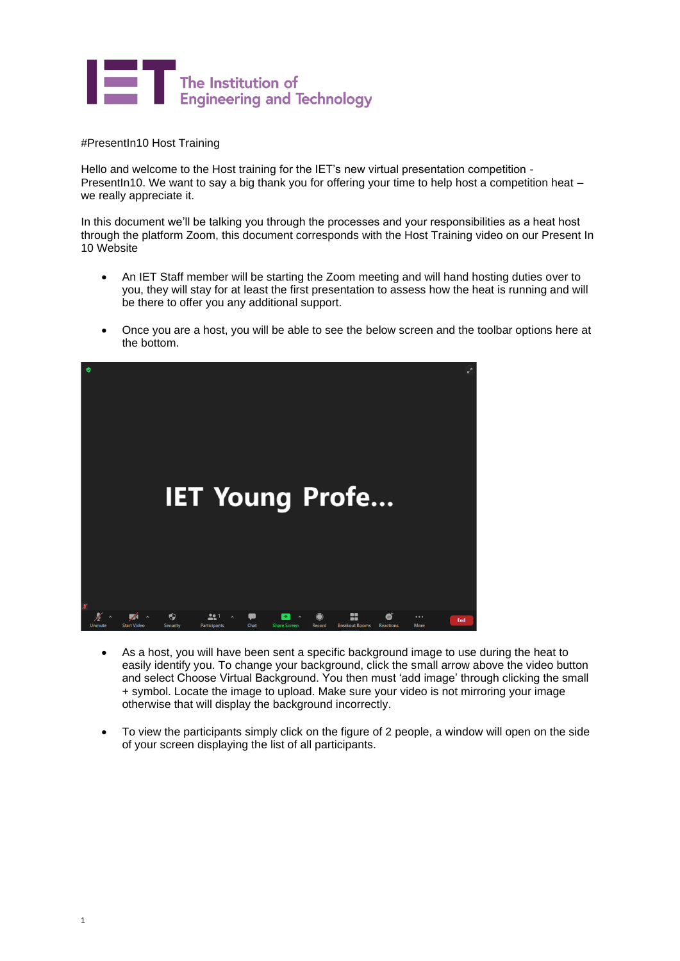

#PresentIn10 Host Training

Hello and welcome to the Host training for the IET's new virtual presentation competition - PresentIn10. We want to say a big thank you for offering your time to help host a competition heat – we really appreciate it.

In this document we'll be talking you through the processes and your responsibilities as a heat host through the platform Zoom, this document corresponds with the Host Training video on our Present In 10 Website

- An IET Staff member will be starting the Zoom meeting and will hand hosting duties over to you, they will stay for at least the first presentation to assess how the heat is running and will be there to offer you any additional support.
- Once you are a host, you will be able to see the below screen and the toolbar options here at the bottom.



- As a host, you will have been sent a specific background image to use during the heat to easily identify you. To change your background, click the small arrow above the video button and select Choose Virtual Background. You then must 'add image' through clicking the small + symbol. Locate the image to upload. Make sure your video is not mirroring your image otherwise that will display the background incorrectly.
- To view the participants simply click on the figure of 2 people, a window will open on the side of your screen displaying the list of all participants.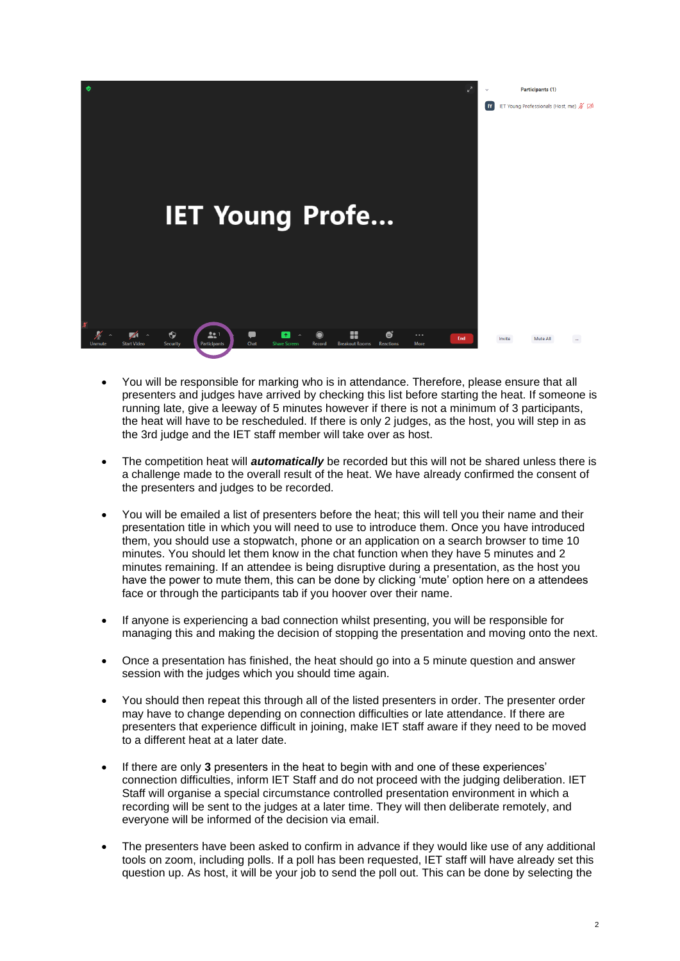

- You will be responsible for marking who is in attendance. Therefore, please ensure that all presenters and judges have arrived by checking this list before starting the heat. If someone is running late, give a leeway of 5 minutes however if there is not a minimum of 3 participants, the heat will have to be rescheduled. If there is only 2 judges, as the host, you will step in as the 3rd judge and the IET staff member will take over as host.
- The competition heat will *automatically* be recorded but this will not be shared unless there is a challenge made to the overall result of the heat. We have already confirmed the consent of the presenters and judges to be recorded.
- You will be emailed a list of presenters before the heat; this will tell you their name and their presentation title in which you will need to use to introduce them. Once you have introduced them, you should use a stopwatch, phone or an application on a search browser to time 10 minutes. You should let them know in the chat function when they have 5 minutes and 2 minutes remaining. If an attendee is being disruptive during a presentation, as the host you have the power to mute them, this can be done by clicking 'mute' option here on a attendees face or through the participants tab if you hoover over their name.
- If anyone is experiencing a bad connection whilst presenting, you will be responsible for managing this and making the decision of stopping the presentation and moving onto the next.
- Once a presentation has finished, the heat should go into a 5 minute question and answer session with the judges which you should time again.
- You should then repeat this through all of the listed presenters in order. The presenter order may have to change depending on connection difficulties or late attendance. If there are presenters that experience difficult in joining, make IET staff aware if they need to be moved to a different heat at a later date.
- If there are only **3** presenters in the heat to begin with and one of these experiences' connection difficulties, inform IET Staff and do not proceed with the judging deliberation. IET Staff will organise a special circumstance controlled presentation environment in which a recording will be sent to the judges at a later time. They will then deliberate remotely, and everyone will be informed of the decision via email.
- The presenters have been asked to confirm in advance if they would like use of any additional tools on zoom, including polls. If a poll has been requested, IET staff will have already set this question up. As host, it will be your job to send the poll out. This can be done by selecting the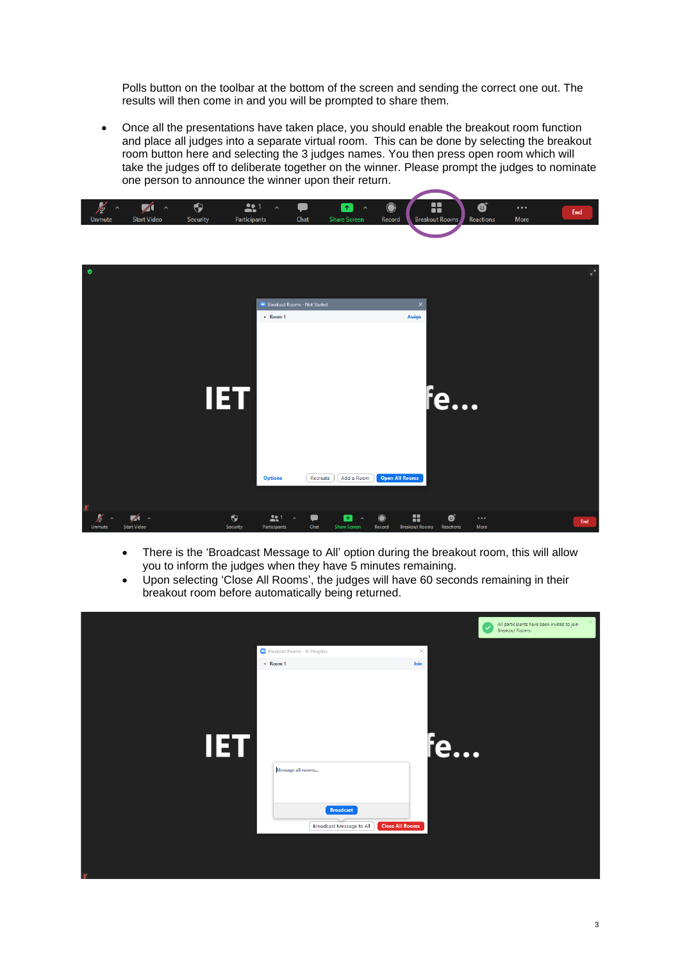Polls button on the toolbar at the bottom of the screen and sending the correct one out. The results will then come in and you will be prompted to share them.

• Once all the presentations have taken place, you should enable the breakout room function and place all judges into a separate virtual room. This can be done by selecting the breakout room button here and selecting the 3 judges names. You then press open room which will take the judges off to deliberate together on the winner. Please prompt the judges to nominate one person to announce the winner upon their return.



| ۰                   |                                              |                       | <b>Breakout Rooms - Not Started</b>                    |           |                                                            |                     |                                 |                | $\epsilon^2$     |     |
|---------------------|----------------------------------------------|-----------------------|--------------------------------------------------------|-----------|------------------------------------------------------------|---------------------|---------------------------------|----------------|------------------|-----|
| $\boldsymbol{\chi}$ |                                              | <b>IET</b>            | * Room 1<br><b>Options</b>                             | Recreate  | Add a Room                                                 |                     | <b>Assign</b><br>Open All Rooms | <b>te</b>      |                  |     |
| <b>Unmute</b>       | $\mathbb{Z}$<br>$\sim$<br><b>Start Video</b> | $\bullet$<br>Security | 22 <sup>1</sup><br>$\hat{\phantom{a}}$<br>Participants | o<br>Chat | $\mathbf{r}$<br>$\hat{\phantom{a}}$<br><b>Share Screen</b> | $\bullet$<br>Record | 8<br><b>Breakout Rooms</b>      | ø<br>Reactions | $\cdots$<br>More | End |

- There is the 'Broadcast Message to All' option during the breakout room, this will allow you to inform the judges when they have 5 minutes remaining.
- Upon selecting 'Close All Rooms', the judges will have 60 seconds remaining in their breakout room before automatically being returned.

|            | Breakout Rooms - In Progress                                                                       | $\times$ | $\checkmark$ | All participants have been invited to join<br>Breakout Rooms. | $\times$ |
|------------|----------------------------------------------------------------------------------------------------|----------|--------------|---------------------------------------------------------------|----------|
|            | $\sqrt{R}$ Room 1                                                                                  | Join     |              |                                                               |          |
| <b>IET</b> | Message all rooms<br><b>Broadcast</b><br><b>Close All Rooms</b><br><b>Broadcast Message to All</b> |          | fe           |                                                               |          |